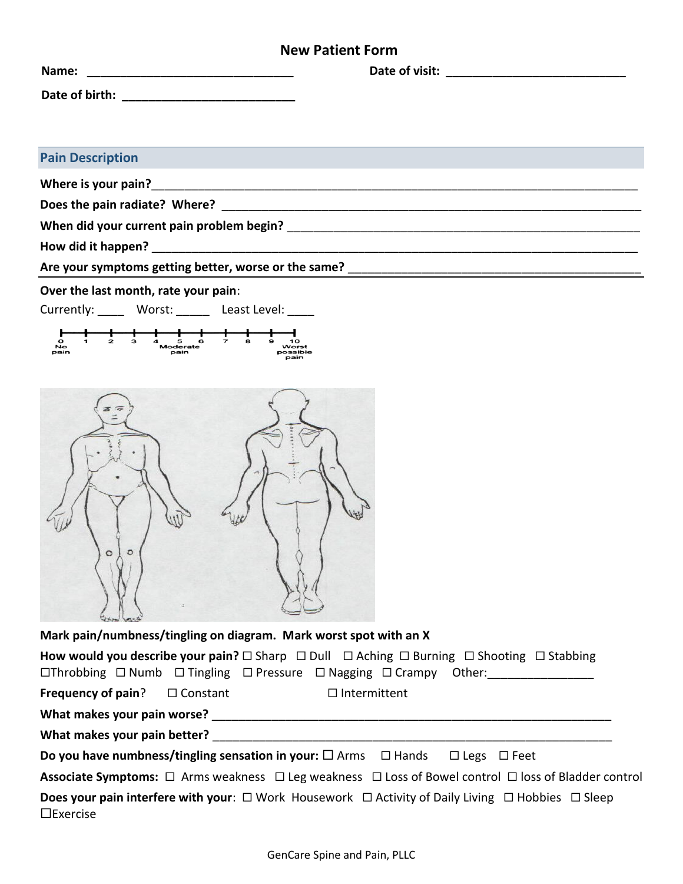## **New Patient Form**

| <b>Pain Description</b>              |  |
|--------------------------------------|--|
|                                      |  |
|                                      |  |
|                                      |  |
|                                      |  |
|                                      |  |
| Over the last month, rate your pain: |  |

Currently: \_\_\_\_\_ Worst: \_\_\_\_\_ Least Level: \_\_\_\_





**Mark pain/numbness/tingling on diagram. Mark worst spot with an X**

| How would you describe your pain? $\Box$ Sharp $\Box$ Dull $\Box$ Aching $\Box$ Burning $\Box$ Shooting $\Box$ Stabbing<br>$\Box$ Throbbing $\Box$ Numb $\Box$ Tingling $\Box$ Pressure $\Box$ Nagging $\Box$ Crampy Other: |  |                     |  |  |
|-----------------------------------------------------------------------------------------------------------------------------------------------------------------------------------------------------------------------------|--|---------------------|--|--|
| <b>Frequency of pain?</b> $\Box$ Constant                                                                                                                                                                                   |  | $\Box$ Intermittent |  |  |
| What makes your pain worse?                                                                                                                                                                                                 |  |                     |  |  |
| What makes your pain better?                                                                                                                                                                                                |  |                     |  |  |
| <b>Do you have numbness/tingling sensation in your:</b> $\Box$ Arms $\Box$ Hands $\Box$ Legs $\Box$ Feet                                                                                                                    |  |                     |  |  |
| Associate Symptoms: □ Arms weakness □ Leg weakness □ Loss of Bowel control □ loss of Bladder control                                                                                                                        |  |                     |  |  |
| <b>Does your pain interfere with your</b> : $\Box$ Work Housework $\Box$ Activity of Daily Living $\Box$ Hobbies $\Box$ Sleep<br>$\Box$ Exercise                                                                            |  |                     |  |  |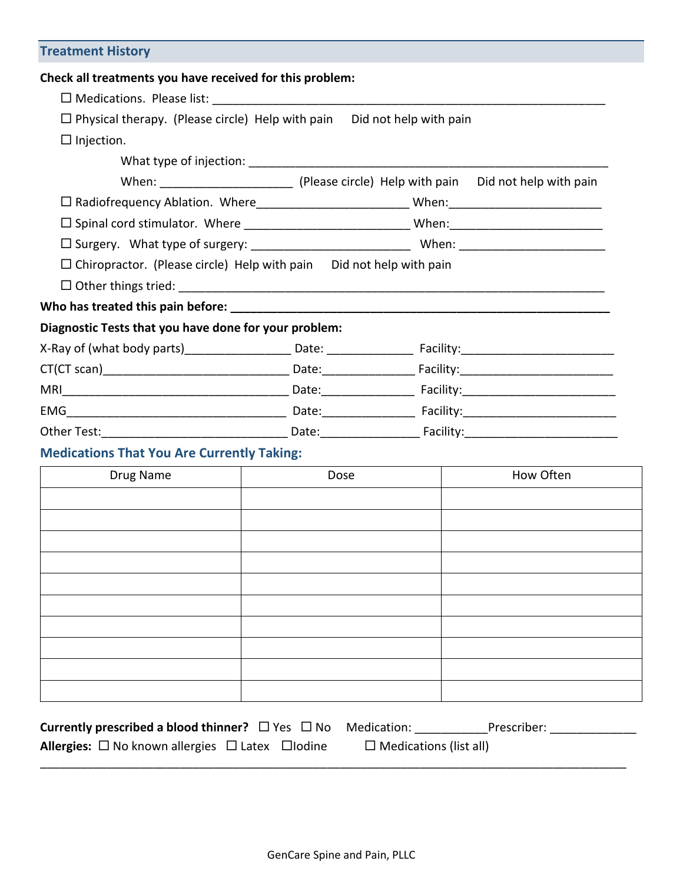| <b>Treatment History</b>                                                       |                                                                                                                                                                                                                                |  |
|--------------------------------------------------------------------------------|--------------------------------------------------------------------------------------------------------------------------------------------------------------------------------------------------------------------------------|--|
| Check all treatments you have received for this problem:                       |                                                                                                                                                                                                                                |  |
|                                                                                |                                                                                                                                                                                                                                |  |
| $\Box$ Physical therapy. (Please circle) Help with pain Did not help with pain |                                                                                                                                                                                                                                |  |
| $\Box$ Injection.                                                              |                                                                                                                                                                                                                                |  |
|                                                                                | What type of injection: when the state of the state of the state of the state of the state of the state of the state of the state of the state of the state of the state of the state of the state of the state of the state o |  |
|                                                                                |                                                                                                                                                                                                                                |  |
|                                                                                |                                                                                                                                                                                                                                |  |
|                                                                                |                                                                                                                                                                                                                                |  |
|                                                                                |                                                                                                                                                                                                                                |  |
| $\Box$ Chiropractor. (Please circle) Help with pain Did not help with pain     |                                                                                                                                                                                                                                |  |
|                                                                                |                                                                                                                                                                                                                                |  |
|                                                                                |                                                                                                                                                                                                                                |  |
| Diagnostic Tests that you have done for your problem:                          |                                                                                                                                                                                                                                |  |
|                                                                                |                                                                                                                                                                                                                                |  |
|                                                                                |                                                                                                                                                                                                                                |  |
|                                                                                |                                                                                                                                                                                                                                |  |
|                                                                                |                                                                                                                                                                                                                                |  |
|                                                                                |                                                                                                                                                                                                                                |  |
| <b>Medications That You Are Currently Taking:</b>                              |                                                                                                                                                                                                                                |  |

| Drug Name | Dose | How Often |
|-----------|------|-----------|
|           |      |           |
|           |      |           |
|           |      |           |
|           |      |           |
|           |      |           |
|           |      |           |
|           |      |           |
|           |      |           |
|           |      |           |
|           |      |           |

| Currently prescribed a blood thinner? $\Box$ Yes $\Box$ No Medication: | Prescriber:                   |
|------------------------------------------------------------------------|-------------------------------|
| <b>Allergies:</b> $\Box$ No known allergies $\Box$ Latex $\Box$ Iodine | $\Box$ Medications (list all) |
|                                                                        |                               |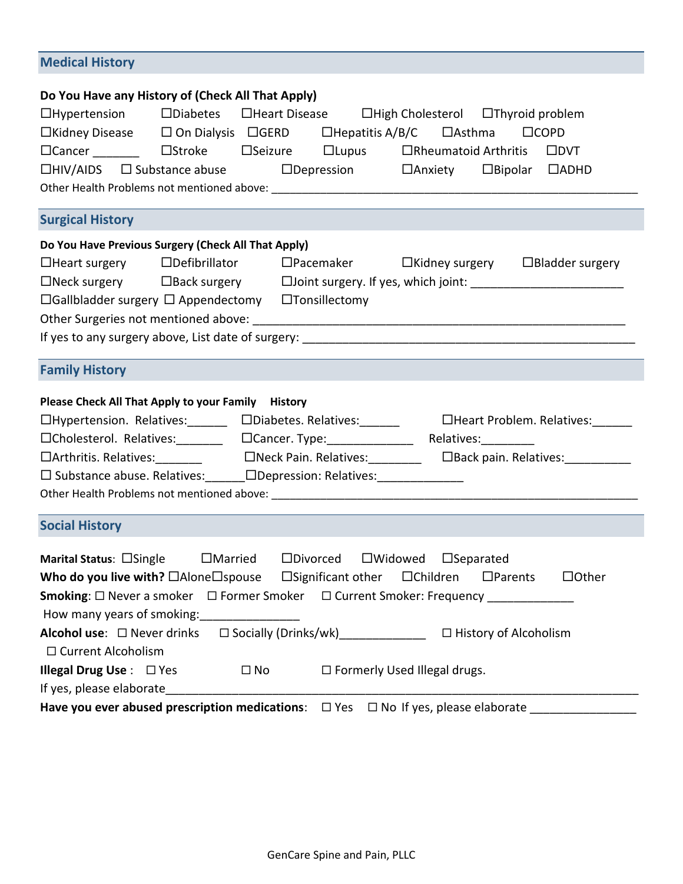| <b>Medical History</b>                                                                                                                                                                                                                                                                                                                                                                                                                                                                                                                                                                      |  |  |  |  |
|---------------------------------------------------------------------------------------------------------------------------------------------------------------------------------------------------------------------------------------------------------------------------------------------------------------------------------------------------------------------------------------------------------------------------------------------------------------------------------------------------------------------------------------------------------------------------------------------|--|--|--|--|
| Do You Have any History of (Check All That Apply)<br>$\Box$ Hypertension $\Box$ Diabetes $\Box$ Heart Disease $\Box$ High Cholesterol $\Box$ Thyroid problem<br>□Kidney Disease □ On Dialysis □ GERD □ □ Hepatitis A/B/C □ △ IAsthma □ □ COPD                                                                                                                                                                                                                                                                                                                                               |  |  |  |  |
| <b>Surgical History</b>                                                                                                                                                                                                                                                                                                                                                                                                                                                                                                                                                                     |  |  |  |  |
| Do You Have Previous Surgery (Check All That Apply)<br>$\Box$ Heart surgery $\Box$ Defibrillator $\Box$ Pacemaker $\Box$ Kidney surgery $\Box$ Bladder surgery<br>□Neck surgery □Back surgery □Joint surgery. If yes, which joint: ______________________<br>$\Box$ Gallbladder surgery $\Box$ Appendectomy $\Box$ Tonsillectomy                                                                                                                                                                                                                                                            |  |  |  |  |
| <b>Family History</b>                                                                                                                                                                                                                                                                                                                                                                                                                                                                                                                                                                       |  |  |  |  |
| Please Check All That Apply to your Family History<br>□Hypertension. Relatives: □ □ □Diabetes. Relatives: □ □ □Heart Problem. Relatives: □<br>□Arthritis. Relatives: _________    □Neck Pain. Relatives: ________  □Back pain. Relatives: ____________<br>□ Substance abuse. Relatives: ______ □Depression: Relatives: _______________                                                                                                                                                                                                                                                      |  |  |  |  |
| <b>Social History</b>                                                                                                                                                                                                                                                                                                                                                                                                                                                                                                                                                                       |  |  |  |  |
| $\Box$ Married $\Box$ Divorced $\Box$ Widowed $\Box$ Separated<br>Marital Status: $\square$ Single<br>Who do you live with? $\Box$ Alone $\Box$ spouse $\Box$ Significant other $\Box$ Children<br>$\Box$ Parents<br>$\Box$ Other<br><b>Smoking</b> : □ Never a smoker □ Former Smoker □ Current Smoker: Frequency _________<br>Alcohol use: □ Never drinks □ Socially (Drinks/wk)______________ □ History of Alcoholism<br>□ Current Alcoholism<br><b>Illegal Drug Use</b> : $\Box$ Yes $\Box$ No $\Box$ Formerly Used Illegal drugs.<br>If yes, please elaborate $\overline{\phantom{a}}$ |  |  |  |  |

**Have you ever abused prescription medications**: Yes No If yes, please elaborate \_\_\_\_\_\_\_\_\_\_\_\_\_\_\_\_